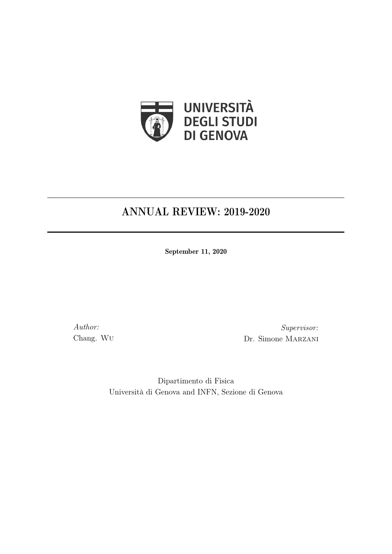

# ANNUAL REVIEW: 2019-2020

September 11, 2020

Author: Chang. Wu

Supervisor: Dr. Simone Marzani

Dipartimento di Fisica Università di Genova and INFN, Sezione di Genova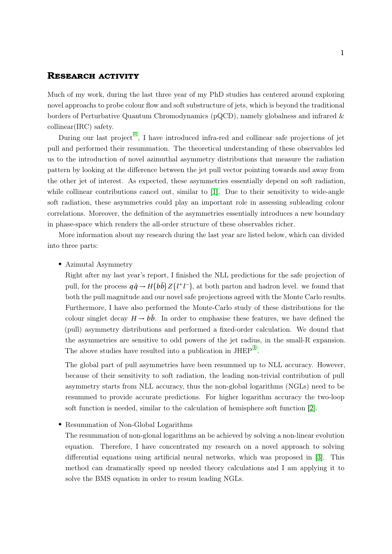### **Research activity**

Much of my work, during the last three year of my PhD studies has centered around exploring novel approachs to probe colour flow and soft substructure of jets, which is beyond the traditional borders of Perturbative Quantum Chromodynamics (pQCD), namely globalness and infrared & collinear(IRC) safety.

During our last project<sup>[\[I\]](#page-2-0)</sup>, I have introduced infra-red and collinear safe projections of jet pull and performed their resummation. The theoretical understanding of these observables led us to the introduction of novel azimuthal asymmetry distributions that measure the radiation pattern by looking at the difference between the jet pull vector pointing towards and away from the other jet of interest. As expected, these asymmetries essentially depend on soft radiation, while collinear contributions cancel out, similar to [\[1\]](#page-3-0). Due to their sensitivity to wide-angle soft radiation, these asymmetries could play an important role in assessing subleading colour correlations. Moreover, the definition of the asymmetries essentially introduces a new boundary in phase-space which renders the all-order structure of these observables richer.

More information about my research during the last year are listed below, which can divided into three parts:

• Azimutal Asymmetry

Right after my last year's report, I finished the NLL predictions for the safe projection of pull, for the process  $q\bar{q} \rightarrow H(b\bar{b}) Z(l^+l^-)$ , at both parton and hadron level. we found that both the pull magnitude and our novel safe projections agreed with the Monte Carlo results. Furthermore, I have also performed the Monte-Carlo study of these distributions for the colour singlet decay  $H \rightarrow b\bar{b}$ . In order to emphasise these features, we have defined the (pull) asymmetry distributions and performed a fixed-order calculation. We dound that the asymmetries are sensitive to odd powers of the jet radius, in the small-R expansion. The above studies have resulted into a publication in  $JHEP^{[I]}$  $JHEP^{[I]}$  $JHEP^{[I]}$ .

The global part of pull asymmetries have been resummed up to NLL accuracy. However, because of their sensitivity to soft radiation, the leading non-trivial contribution of pull asymmetry starts from NLL accuracy, thus the non-global logarithms (NGLs) need to be resummed to provide accurate predictions. For higher logarithm accuracy the two-loop soft function is needed, similar to the calculation of hemisphere soft function [\[2\]](#page-3-1).

• Resummation of Non-Global Logarithms

The resummation of non-glonal logarithms an be achieved by solving a non-linear evolution equation. Therefore, I have concentrated my research on a novel approach to solving differential equations using artificial neural networks, which was proposed in [\[3\]](#page-3-2). This method can dramatically speed up needed theory calculations and I am applying it to solve the BMS equation in order to resum leading NGLs.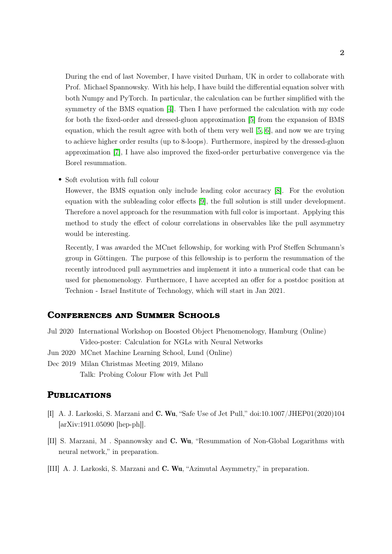During the end of last November, I have visited Durham, UK in order to collaborate with Prof. Michael Spannowsky. With his help, I have build the differential equation solver with both Numpy and PyTorch. In particular, the calculation can be further simplified with the symmetry of the BMS equation [\[4\]](#page-3-3). Then I have performed the calculation with my code for both the fixed-order and dressed-gluon approximation [\[5\]](#page-3-4) from the expansion of BMS equation, which the result agree with both of them very well [\[5,](#page-3-4) [6\]](#page-3-5), and now we are trying to achieve higher order results (up to 8-loops). Furthermore, inspired by the dressed-gluon approximation [\[7\]](#page-3-6), I have also improved the fixed-order perturbative convergence via the Borel resummation.

• Soft evolution with full colour

However, the BMS equation only include leading color accuracy [\[8\]](#page-3-7). For the evolution equation with the subleading color effects [\[9\]](#page-3-8), the full solution is still under development. Therefore a novel approach for the resummation with full color is important. Applying this method to study the effect of colour correlations in observables like the pull asymmetry would be interesting.

Recently, I was awarded the MCnet fellowship, for working with Prof Steffen Schumann's group in Göttingen. The purpose of this fellowship is to perform the resummation of the recently introduced pull asymmetries and implement it into a numerical code that can be used for phenomenology. Furthermore, I have accepted an offer for a postdoc position at Technion - Israel Institute of Technology, which will start in Jan 2021.

### **Conferences and Summer Schools**

- Jul 2020 International Workshop on Boosted Object Phenomenology, Hamburg (Online) Video-poster: Calculation for NGLs with Neural Networks
- Jun 2020 MCnet Machine Learning School, Lund (Online)
- Dec 2019 Milan Christmas Meeting 2019, Milano Talk: Probing Colour Flow with Jet Pull

### **Publications**

- <span id="page-2-0"></span>[I] A. J. Larkoski, S. Marzani and C. Wu, "Safe Use of Jet Pull," doi:10.1007/JHEP01(2020)104 [arXiv:1911.05090 [hep-ph]].
- [II] S. Marzani, M . Spannowsky and C. Wu, "Resummation of Non-Global Logarithms with neural network," in preparation.
- [III] A. J. Larkoski, S. Marzani and C. Wu, "Azimutal Asymmetry," in preparation.